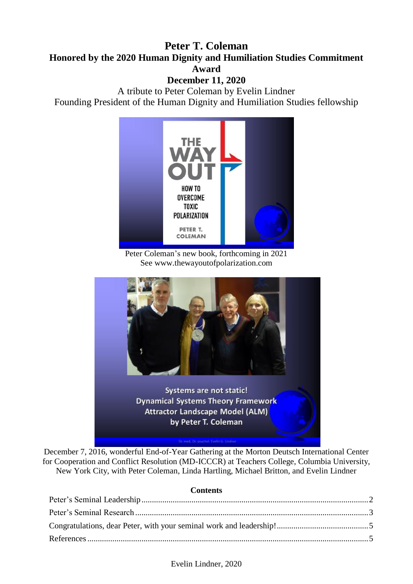### **Peter T. Coleman Honored by the 2020 Human Dignity and Humiliation Studies Commitment Award**

### **December 11, 2020**

A tribute to Peter Coleman by Evelin Lindner Founding President of the Human Dignity and Humiliation Studies fellowship



Peter Coleman's new book, forthcoming in 2021 See www.thewayoutofpolarization.com



**Dynamical Systems Theory Framework Attractor Landscape Model (ALM)** by Peter T. Coleman

December 7, 2016, wonderful End-of-Year Gathering at the Morton Deutsch International Center for Cooperation and Conflict Resolution (MD-ICCCR) at Teachers College, Columbia University, New York City, with Peter Coleman, Linda Hartling, Michael Britton, and Evelin Lindner

#### **Contents**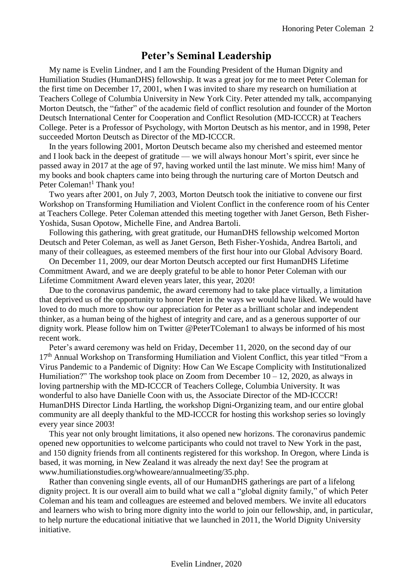# **Peter's Seminal Leadership**

<span id="page-1-0"></span>My name is Evelin Lindner, and I am the Founding President of the Human Dignity and Humiliation Studies (HumanDHS) fellowship. It was a great joy for me to meet Peter Coleman for the first time on December 17, 2001, when I was invited to share my research on humiliation at Teachers College of Columbia University in New York City. Peter attended my talk, accompanying Morton Deutsch, the "father" of the academic field of conflict resolution and founder of the Morton Deutsch International Center for Cooperation and Conflict Resolution (MD-ICCCR) at Teachers College. Peter is a Professor of Psychology, with Morton Deutsch as his mentor, and in 1998, Peter succeeded Morton Deutsch as Director of the MD-ICCCR.

In the years following 2001, Morton Deutsch became also my cherished and esteemed mentor and I look back in the deepest of gratitude — we will always honour Mort's spirit, ever since he passed away in 2017 at the age of 97, having worked until the last minute. We miss him! Many of my books and book chapters came into being through the nurturing care of Morton Deutsch and Peter Coleman!<sup>1</sup> Thank you!

Two years after 2001, on July 7, 2003, Morton Deutsch took the initiative to convene our first Workshop on Transforming Humiliation and Violent Conflict in the conference room of his Center at Teachers College. Peter Coleman attended this meeting together with Janet Gerson, Beth Fisher-Yoshida, Susan Opotow, Michelle Fine, and Andrea Bartoli.

Following this gathering, with great gratitude, our HumanDHS fellowship welcomed Morton Deutsch and Peter Coleman, as well as Janet Gerson, Beth Fisher-Yoshida, Andrea Bartoli, and many of their colleagues, as esteemed members of the first hour into our Global Advisory Board.

On December 11, 2009, our dear Morton Deutsch accepted our first HumanDHS Lifetime Commitment Award, and we are deeply grateful to be able to honor Peter Coleman with our Lifetime Commitment Award eleven years later, this year, 2020!

Due to the coronavirus pandemic, the award ceremony had to take place virtually, a limitation that deprived us of the opportunity to honor Peter in the ways we would have liked. We would have loved to do much more to show our appreciation for Peter as a brilliant scholar and independent thinker, as a human being of the highest of integrity and care, and as a generous supporter of our dignity work. Please follow him on Twitter @PeterTColeman1 to always be informed of his most recent work.

Peter's award ceremony was held on Friday, December 11, 2020, on the second day of our  $17<sup>th</sup>$  Annual Workshop on Transforming Humiliation and Violent Conflict, this year titled "From a Virus Pandemic to a Pandemic of Dignity: How Can We Escape Complicity with Institutionalized Humiliation?" The workshop took place on Zoom from December  $10 - 12$ , 2020, as always in loving partnership with the MD-ICCCR of Teachers College, Columbia University. It was wonderful to also have Danielle Coon with us, the Associate Director of the MD-ICCCR! HumanDHS Director Linda Hartling, the workshop Digni-Organizing team, and our entire global community are all deeply thankful to the MD-ICCCR for hosting this workshop series so lovingly every year since 2003!

This year not only brought limitations, it also opened new horizons. The coronavirus pandemic opened new opportunities to welcome participants who could not travel to New York in the past, and 150 dignity friends from all continents registered for this workshop. In Oregon, where Linda is based, it was morning, in New Zealand it was already the next day! See the program at www.humiliationstudies.org/whoweare/annualmeeting/35.php.

Rather than convening single events, all of our HumanDHS gatherings are part of a lifelong dignity project. It is our overall aim to build what we call a "global dignity family," of which Peter Coleman and his team and colleagues are esteemed and beloved members. We invite all educators and learners who wish to bring more dignity into the world to join our fellowship, and, in particular, to help nurture the educational initiative that we launched in 2011, the World Dignity University initiative.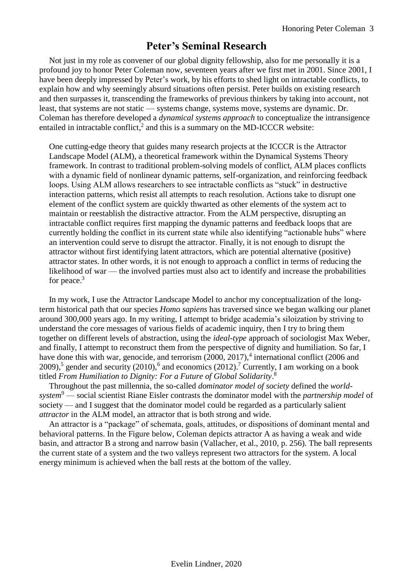## **Peter's Seminal Research**

<span id="page-2-0"></span>Not just in my role as convener of our global dignity fellowship, also for me personally it is a profound joy to honor Peter Coleman now, seventeen years after we first met in 2001. Since 2001, I have been deeply impressed by Peter's work, by his efforts to shed light on intractable conflicts, to explain how and why seemingly absurd situations often persist. Peter builds on existing research and then surpasses it, transcending the frameworks of previous thinkers by taking into account, not least, that systems are not static — systems change, systems move, systems are dynamic. Dr. Coleman has therefore developed a *dynamical systems approach* to conceptualize the intransigence entailed in intractable conflict,<sup>2</sup> and this is a summary on the MD-ICCCR website:

One cutting-edge theory that guides many research projects at the ICCCR is the Attractor Landscape Model (ALM), a theoretical framework within the Dynamical Systems Theory framework. In contrast to traditional problem-solving models of conflict, ALM places conflicts with a dynamic field of nonlinear dynamic patterns, self-organization, and reinforcing feedback loops. Using ALM allows researchers to see intractable conflicts as "stuck" in destructive interaction patterns, which resist all attempts to reach resolution. Actions take to disrupt one element of the conflict system are quickly thwarted as other elements of the system act to maintain or reestablish the distractive attractor. From the ALM perspective, disrupting an intractable conflict requires first mapping the dynamic patterns and feedback loops that are currently holding the conflict in its current state while also identifying "actionable hubs" where an intervention could serve to disrupt the attractor. Finally, it is not enough to disrupt the attractor without first identifying latent attractors, which are potential alternative (positive) attractor states. In other words, it is not enough to approach a conflict in terms of reducing the likelihood of war — the involved parties must also act to identify and increase the probabilities for peace.<sup>3</sup>

In my work, I use the Attractor Landscape Model to anchor my conceptualization of the longterm historical path that our species *Homo sapiens* has traversed since we began walking our planet around 300,000 years ago. In my writing, I attempt to bridge academia's siloization by striving to understand the core messages of various fields of academic inquiry, then I try to bring them together on different levels of abstraction, using the *ideal-type* approach of sociologist Max Weber, and finally, I attempt to reconstruct them from the perspective of dignity and humiliation. So far, I have done this with war, genocide, and terrorism (2000, 2017),<sup>4</sup> international conflict (2006 and 2009),<sup>5</sup> gender and security (2010),<sup>6</sup> and economics (2012).<sup>7</sup> Currently, I am working on a book titled *From Humiliation to Dignity: For a Future of Global Solidarity*. 8

Throughout the past millennia, the so-called *dominator model of society* defined the *worldsystem*<sup>9</sup> — social scientist Riane Eisler contrasts the dominator model with the *partnership model* of society — and I suggest that the dominator model could be regarded as a particularly salient *attractor* in the ALM model, an attractor that is both strong and wide.

An attractor is a "package" of schemata, goals, attitudes, or dispositions of dominant mental and behavioral patterns. In the Figure below, Coleman depicts attractor A as having a weak and wide basin, and attractor B a strong and narrow basin (Vallacher, et al., 2010, p. 256). The ball represents the current state of a system and the two valleys represent two attractors for the system. A local energy minimum is achieved when the ball rests at the bottom of the valley.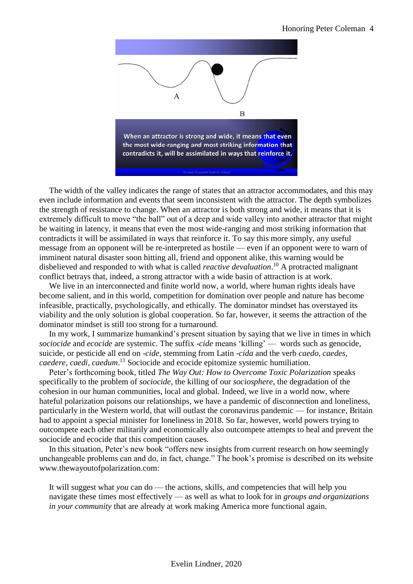

The width of the valley indicates the range of states that an attractor accommodates, and this may even include information and events that seem inconsistent with the attractor. The depth symbolizes the strength of resistance to change. When an attractor is both strong and wide, it means that it is extremely difficult to move "the ball" out of a deep and wide valley into another attractor that might be waiting in latency, it means that even the most wide-ranging and most striking information that contradicts it will be assimilated in ways that reinforce it. To say this more simply, any useful message from an opponent will be re-interpreted as hostile — even if an opponent were to warn of imminent natural disaster soon hitting all, friend and opponent alike, this warning would be disbelieved and responded to with what is called *reactive devaluation*. <sup>10</sup> A protracted malignant conflict betrays that, indeed, a strong attractor with a wide basin of attraction is at work.

We live in an interconnected and finite world now, a world, where human rights ideals have become salient, and in this world, competition for domination over people and nature has become infeasible, practically, psychologically, and ethically. The dominator mindset has overstayed its viability and the only solution is global cooperation. So far, however, it seems the attraction of the dominator mindset is still too strong for a turnaround.

In my work, I summarize humankind's present situation by saying that we live in times in which *sociocide* and *ecocide* are systemic. The suffix -*cide* means 'killing' — words such as genocide, suicide, or pesticide all end on -*cide*, stemming from Latin *-cida* and the verb *caedo, caedes, caedere, caedi, caedum*. <sup>11</sup> Sociocide and ecocide epitomize systemic humiliation.

Peter's forthcoming book, titled *The Way Out: How to Overcome Toxic Polarization* speaks specifically to the problem of *sociocide*, the killing of our *sociosphere*, the degradation of the cohesion in our human communities, local and global. Indeed, we live in a world now, where hateful polarization poisons our relationships, we have a pandemic of disconnection and loneliness, particularly in the Western world, that will outlast the coronavirus pandemic — for instance, Britain had to appoint a special minister for loneliness in 2018. So far, however, world powers trying to outcompete each other militarily and economically also outcompete attempts to heal and prevent the sociocide and ecocide that this competition causes.

In this situation, Peter's new book "offers new insights from current research on how seemingly unchangeable problems can and do, in fact, change." The book's promise is described on its website www.thewayoutofpolarization.com:

It will suggest what *you* can do — the actions, skills, and competencies that will help you navigate these times most effectively — as well as what to look for in *groups and organizations in your community* that are already at work making America more functional again.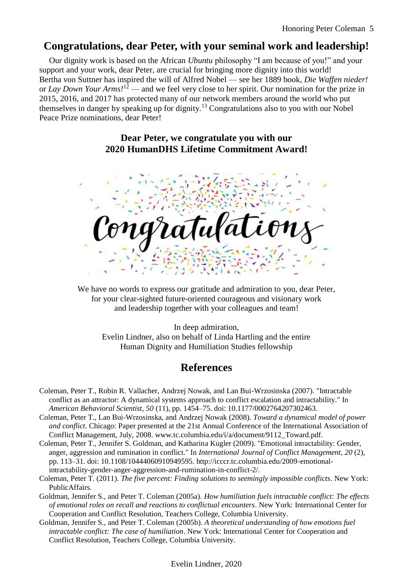## <span id="page-4-0"></span>**Congratulations, dear Peter, with your seminal work and leadership!**

Our dignity work is based on the African *Ubuntu* philosophy "I am because of you!" and your support and your work, dear Peter, are crucial for bringing more dignity into this world! Bertha von Suttner has inspired the will of Alfred Nobel — see her 1889 book, *Die Waffen nieder!*  or *Lay Down Your Arms!*<sup>12</sup> — and we feel very close to her spirit. Our nomination for the prize in 2015, 2016, and 2017 has protected many of our network members around the world who put themselves in danger by speaking up for dignity.<sup>13</sup> Congratulations also to you with our Nobel Peace Prize nominations, dear Peter!

#### **Dear Peter, we congratulate you with our 2020 HumanDHS Lifetime Commitment Award!**



We have no words to express our gratitude and admiration to you, dear Peter, for your clear-sighted future-oriented courageous and visionary work and leadership together with your colleagues and team!

In deep admiration, Evelin Lindner, also on behalf of Linda Hartling and the entire Human Dignity and Humiliation Studies fellowship

# **References**

- <span id="page-4-1"></span>Coleman, Peter T., Robin R. Vallacher, Andrzej Nowak, and Lan Bui-Wrzosinska (2007). "Intractable conflict as an attractor: A dynamical systems approach to conflict escalation and intractability." In *American Behavioral Scientist*, *50* (11), pp. 1454–75. doi: 10.1177/0002764207302463.
- Coleman, Peter T., Lan Bui-Wrzosinska, and Andrzej Nowak (2008). *Toward a dynamical model of power and conflict*. Chicago: Paper presented at the 21st Annual Conference of the International Association of Conflict Management, July, 2008. www.tc.columbia.edu/i/a/document/9112\_Toward.pdf.
- Coleman, Peter T., Jennifer S. Goldman, and Katharina Kugler (2009). "Emotional intractability: Gender, anger, aggression and rumination in conflict." In *International Journal of Conflict Management*, *20* (2), pp. 113–31. doi: 10.1108/10444060910949595. http://icccr.tc.columbia.edu/2009-emotionalintractability-gender-anger-aggression-and-rumination-in-conflict-2/.
- Coleman, Peter T. (2011). *The five percent: Finding solutions to seemingly impossible conflicts*. New York: PublicAffairs.
- Goldman, Jennifer S., and Peter T. Coleman (2005a). *How humiliation fuels intractable conflict: The effects of emotional roles on recall and reactions to conflictual encounters*. New York: International Center for Cooperation and Conflict Resolution, Teachers College, Columbia University.
- Goldman, Jennifer S., and Peter T. Coleman (2005b). *A theoretical understanding of how emotions fuel intractable conflict: The case of humiliation*. New York: International Center for Cooperation and Conflict Resolution, Teachers College, Columbia University.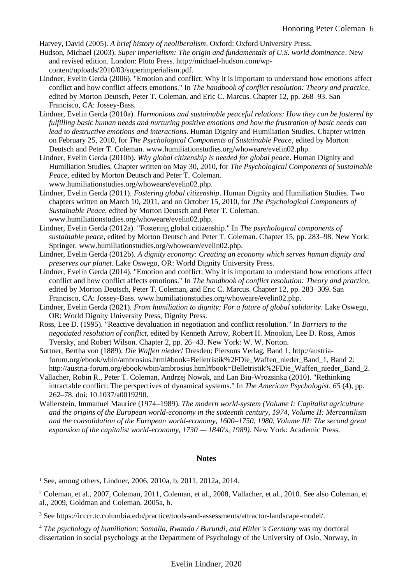Harvey, David (2005). *A brief history of neoliberalism*. Oxford: Oxford University Press.

- Hudson, Michael (2003). *Super imperialism: The origin and fundamentals of U.S. world dominance*. New and revised edition. London: Pluto Press. http://michael-hudson.com/wpcontent/uploads/2010/03/superimperialism.pdf.
- Lindner, Evelin Gerda (2006). "Emotion and conflict: Why it is important to understand how emotions affect conflict and how conflict affects emotions." In *The handbook of conflict resolution: Theory and practice*, edited by Morton Deutsch, Peter T. Coleman, and Eric C. Marcus. Chapter 12, pp. 268–93. San Francisco, CA: Jossey-Bass.
- Lindner, Evelin Gerda (2010a). *Harmonious and sustainable peaceful relations: How they can be fostered by fulfilling basic human needs and nurturing positive emotions and how the frustration of basic needs can lead to destructive emotions and interactions*. Human Dignity and Humiliation Studies. Chapter written on February 25, 2010, for *The Psychological Components of Sustainable Peace*, edited by Morton Deutsch and Peter T. Coleman. www.humiliationstudies.org/whoweare/evelin02.php.
- Lindner, Evelin Gerda (2010b). *Why global citizenship is needed for global peace*. Human Dignity and Humiliation Studies. Chapter written on May 30, 2010, for *The Psychological Components of Sustainable Peace*, edited by Morton Deutsch and Peter T. Coleman. www.humiliationstudies.org/whoweare/evelin02.php.
- Lindner, Evelin Gerda (2011). *Fostering global citizenship*. Human Dignity and Humiliation Studies. Two chapters written on March 10, 2011, and on October 15, 2010, for *The Psychological Components of Sustainable Peace*, edited by Morton Deutsch and Peter T. Coleman. www.humiliationstudies.org/whoweare/evelin02.php.
- Lindner, Evelin Gerda (2012a). "Fostering global citizenship." In *The psychological components of sustainable peace*, edited by Morton Deutsch and Peter T. Coleman. Chapter 15, pp. 283–98. New York: Springer. www.humiliationstudies.org/whoweare/evelin02.php.
- Lindner, Evelin Gerda (2012b). *A dignity economy: Creating an economy which serves human dignity and preserves our planet*. Lake Oswego, OR: World Dignity University Press.
- Lindner, Evelin Gerda (2014). "Emotion and conflict: Why it is important to understand how emotions affect conflict and how conflict affects emotions." In *The handbook of conflict resolution: Theory and practice*, edited by Morton Deutsch, Peter T. Coleman, and Eric C. Marcus. Chapter 12, pp. 283–309. San Francisco, CA: Jossey-Bass. www.humiliationstudies.org/whoweare/evelin02.php.
- Lindner, Evelin Gerda (2021). *From humiliation to dignity: For a future of global solidarity*. Lake Oswego, OR: World Dignity University Press, Dignity Press.
- Ross, Lee D. (1995). "Reactive devaluation in negotiation and conflict resolution." In *Barriers to the negotiated resolution of conflict*, edited by Kenneth Arrow, Robert H. Mnookin, Lee D. Ross, Amos Tversky, and Robert Wilson. Chapter 2, pp. 26–43. New York: W. W. Norton.
- Suttner, Bertha von (1889). *Die Waffen nieder!* Dresden: Piersons Verlag, Band 1. http://austriaforum.org/ebook/wbin/ambrosius.html#book=Belletristik%2FDie\_Waffen\_nieder\_Band\_1, Band 2: http://austria-forum.org/ebook/wbin/ambrosius.html#book=Belletristik%2FDie Waffen nieder Band 2.
- Vallacher, Robin R., Peter T. Coleman, Andrzej Nowak, and Lan Biu-Wrozsinka (2010). "Rethinking intractable conflict: The perspectives of dynamical systems." In *The American Psychologist*, *65* (4), pp. 262–78. doi: 10.1037/a0019290.
- Wallerstein, Immanuel Maurice (1974–1989). *The modern world-system (Volume I: Capitalist agriculture and the origins of the European world-economy in the sixteenth century, 1974, Volume II: Mercantilism and the consolidation of the European world-economy, 1600–1750, 1980, Volume III: The second great expansion of the capitalist world-economy, 1730 — 1840's, 1989)*. New York: Academic Press.

#### **Notes**

<sup>1</sup> See, among others, Lindner, 2006, 2010a, b, 2011, 2012a, 2014.

<sup>2</sup> Coleman, et al., 2007, Coleman, 2011, Coleman, et al., 2008, Vallacher, et al., 2010. See also Coleman, et al., 2009, Goldman and Coleman, 2005a, b.

<sup>3</sup> See https://icccr.tc.columbia.edu/practice/tools-and-assessments/attractor-landscape-model/.

<sup>4</sup> *The psychology of humiliation: Somalia, Rwanda / Burundi, and Hitler's Germany* was my doctoral dissertation in social psychology at the Department of Psychology of the University of Oslo, Norway, in